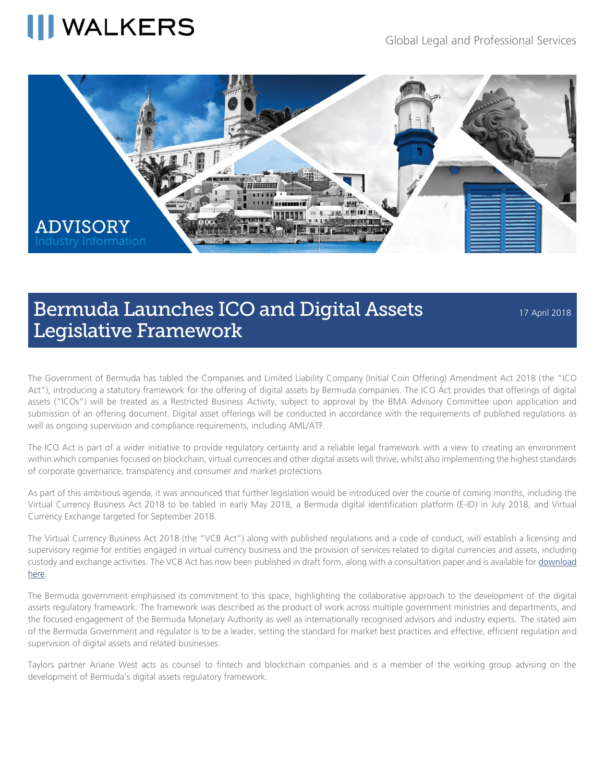## **WALKERS**



### Bermuda Launches ICO and Digital Assets Legislative Framework

17 April 2018

The Government of Bermuda has tabled the Companies and Limited Liability Company (Initial Coin Offering) Amendment Act 2018 (the "ICO Act"), introducing a statutory framework for the offering of digital assets by Bermuda companies. The ICO Act provides that offerings of digital assets ("ICOs") will be treated as a Restricted Business Activity, subject to approval by the BMA Advisory Committee upon application and submission of an offering document. Digital asset offerings will be conducted in accordance with the requirements of published regulations as well as ongoing supervision and compliance requirements, including AML/ATF.

The ICO Act is part of a wider initiative to provide regulatory certainty and a reliable legal framework with a view to creating an environment within which companies focused on blockchain, virtual currencies and other digital assets will thrive, whilst also implementing the highest standards of corporate governance, transparency and consumer and market protections.

As part of this ambitious agenda, it was announced that further legislation would be introduced over the course of coming months, including the Virtual Currency Business Act 2018 to be tabled in early May 2018, a Bermuda digital identification platform (E-ID) in July 2018, and Virtual Currency Exchange targeted for September 2018.

The Virtual Currency Business Act 2018 (the "VCB Act") along with published regulations and a code of conduct, will establish a licensing and supervisory regime for entities engaged in virtual currency business and the provision of services related to digital currencies and assets, including custody and exchange activities. The VCB Act has now been published in draft form, along with a consultation paper and is available for [download](http://www.bma.bm/document-centre/consultation-papers/Digital%20Assets%20Business/Virtual%20Currency%20Business%20Act%202018.pdf)  [here.](http://www.bma.bm/document-centre/consultation-papers/Digital%20Assets%20Business/Virtual%20Currency%20Business%20Act%202018.pdf) 

The Bermuda government emphasised its commitment to this space, highlighting the collaborative approach to the development of the digital assets regulatory framework. The framework was described as the product of work across multiple government ministries and departments, and the focused engagement of the Bermuda Monetary Authority as well as internationally recognised advisors and industry experts. The stated aim of the Bermuda Government and regulator is to be a leader, setting the standard for market best practices and effective, efficient regulation and supervision of digital assets and related businesses.

Taylors partner Ariane West acts as counsel to fintech and blockchain companies and is a member of the working group advising on the development of Bermuda's digital assets regulatory framework.